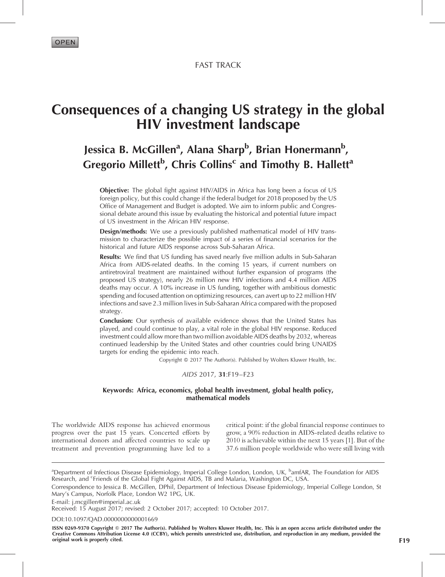FAST TRACK

# Consequences of a changing US strategy in the global HIV investment landscape

## Jessica B. McGillen<sup>a</sup>, Alana Sharp<sup>b</sup>, Brian Honermann<sup>b</sup>, Gregorio Millett<sup>b</sup>, Chris Collins<sup>c</sup> and Timothy B. Hallett<sup>a</sup>

Objective: The global fight against HIV/AIDS in Africa has long been a focus of US foreign policy, but this could change if the federal budget for 2018 proposed by the US Office of Management and Budget is adopted. We aim to inform public and Congressional debate around this issue by evaluating the historical and potential future impact of US investment in the African HIV response.

Design/methods: We use a previously published mathematical model of HIV transmission to characterize the possible impact of a series of financial scenarios for the historical and future AIDS response across Sub-Saharan Africa.

**Results:** We find that US funding has saved nearly five million adults in Sub-Saharan Africa from AIDS-related deaths. In the coming 15 years, if current numbers on antiretroviral treatment are maintained without further expansion of programs (the proposed US strategy), nearly 26 million new HIV infections and 4.4 million AIDS deaths may occur. A 10% increase in US funding, together with ambitious domestic spending and focused attention on optimizing resources, can avert up to 22 million HIV infections and save 2.3 million lives in Sub-Saharan Africa compared with the proposed strategy.

Conclusion: Our synthesis of available evidence shows that the United States has played, and could continue to play, a vital role in the global HIV response. Reduced investment could allow more than two million avoidable AIDS deaths by 2032, whereas continued leadership by the United States and other countries could bring UNAIDS targets for ending the epidemic into reach.

Copyright © 2017 The Author(s). Published by Wolters Kluwer Health, Inc.

#### AIDS 2017, 31:F19–F23

#### Keywords: Africa, economics, global health investment, global health policy, mathematical models

The worldwide AIDS response has achieved enormous progress over the past 15 years. Concerted efforts by international donors and affected countries to scale up treatment and prevention programming have led to a

critical point: if the global financial response continues to grow, a 90% reduction in AIDS-related deaths relative to 2010 is achievable within the next 15 years [\[1\].](#page-4-0) But of the 37.6 million people worldwide who were still living with

E-mail: [j.mcgillen@imperial.ac.uk](mailto:j.mcgillen@imperial.ac.uk)

Received: 15 August 2017; revised: 2 October 2017; accepted: 10 October 2017.

DOI[:10.1097/QAD.0000000000001669](http://dx.doi.org/10.1097/QAD.0000000000001669)

ISSN 0269-9370 Copyright @ 2017 The Author(s). Published by Wolters Kluwer Health, Inc. This is an open access article distributed under the Creative Commons Attribution License 4.0 (CCBY), which permits unrestricted use, distribution, and reproduction in any medium, provided the original work is properly cited. F19

<sup>&</sup>lt;sup>a</sup>Department of Infectious Disease Epidemiology, Imperial College London, London, UK, <sup>b</sup>amfAR, The Foundation for AIDS Research, and <sup>c</sup>Friends of the Global Fight Against AIDS, TB and Malaria, Washington DC, USA.

Correspondence to Jessica B. McGillen, DPhil, Department of Infectious Disease Epidemiology, Imperial College London, St Mary's Campus, Norfolk Place, London W2 1PG, UK.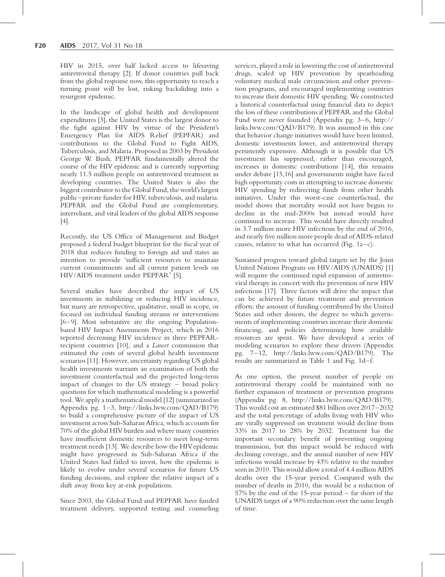HIV in 2015, over half lacked access to lifesaving antiretroviral therapy [\[2\]](#page-4-0). If donor countries pull back from the global response now, this opportunity to reach a turning point will be lost, risking backsliding into a resurgent epidemic.

In the landscape of global health and development expenditures [\[3\]](#page-4-0), the United States is the largest donor to the fight against HIV by virtue of the President's Emergency Plan for AIDS Relief (PEPFAR) and contributions to the Global Fund to Fight AIDS, Tuberculosis, and Malaria. Proposed in 2003 by President George W. Bush, PEPFAR fundamentally altered the course of the HIV epidemic and is currently supporting nearly 11.5 million people on antiretroviral treatment in developing countries. The United States is also the biggest contributor to the Global Fund, the world's largest public–private funder for HIV, tuberculosis, and malaria. PEPFAR and the Global Fund are complementary, interreliant, and vital leaders of the global AIDS response [\[4\]](#page-4-0).

Recently, the US Office of Management and Budget proposed a federal budget blueprint for the fiscal year of 2018 that reduces funding to foreign aid and states an intention to provide 'sufficient resources to maintain current commitments and all current patient levels on HIV/AIDS treatment under PEPFAR' [\[5\]](#page-4-0).

Several studies have described the impact of US investments in stabilizing or reducing HIV incidence, but many are retrospective, qualitative, small in scope, or focused on individual funding streams or interventions [\[6–9\]](#page-4-0). Most substantive are the ongoing Populationbased HIV Impact Assessments Project, which in 2016 reported decreasing HIV incidence in three PEPFARrecipient countries [\[10\],](#page-4-0) and a Lancet commission that estimated the costs of several global health investment scenarios [\[11\]](#page-4-0). However, uncertainty regarding US global health investments warrants an examination of both the investment counterfactual and the projected long-term impact of changes to the US strategy – broad policy questions for which mathematical modeling is a powerful tool. We apply a mathematical model [\[12\]](#page-4-0) (summarized in Appendix pg. 1–3, [http://links.lww.com/QAD/B179\)](http://links.lww.com/QAD/B179) to build a comprehensive picture of the impact of US investment across Sub-Saharan Africa, which accounts for 70% of the global HIV burden and where many countries have insufficient domestic resources to meet long-term treatment needs [\[13\]](#page-4-0). We describe how the HIVepidemic might have progressed in Sub-Saharan Africa if the United States had failed to invest, how the epidemic is likely to evolve under several scenarios for future US funding decisions, and explore the relative impact of a shift away from key at-risk populations.

Since 2003, the Global Fund and PEPFAR have funded treatment delivery, supported testing and counseling services, played a role in lowering the cost of antiretroviral drugs, scaled up HIV prevention by spearheading voluntary medical male circumcision and other prevention programs, and encouraged implementing countries to increase their domestic HIV spending. We constructed a historical counterfactual using financial data to depict the loss of these contributions if PEPFAR and the Global Fund were never founded (Appendix pg. 3–6, [http://](http://links.lww.com/QAD/B179) [links.lww.com/QAD/B179](http://links.lww.com/QAD/B179)). It was assumed in this case that behavior change initiatives would have been limited, domestic investments lower, and antiretroviral therapy persistently expensive. Although it is possible that US investment has suppressed, rather than encouraged, increases in domestic contributions [\[14\],](#page-4-0) this remains under debate [\[15,16\]](#page-4-0) and governments might have faced high opportunity costs in attempting to increase domestic HIV spending by redirecting funds from other health initiatives. Under this worst-case counterfactual, the model shows that mortality would not have begun to decline in the mid-2000s but instead would have continued to increase. This would have directly resulted in 3.7 million more HIV infections by the end of 2016, and nearly five million more people dead of AIDS-related causes, relative to what has occurred [\(Fig. 1a](#page-2-0)–c).

Sustained progress toward global targets set by the Joint United Nations Program on HIV/AIDS (UNAIDS) [\[1\]](#page-4-0) will require the continued rapid expansion of antiretroviral therapy in concert with the prevention of new HIV infections [\[17\].](#page-4-0) Three factors will drive the impact that can be achieved by future treatment and prevention efforts: the amount of funding contributed by the United States and other donors, the degree to which governments of implementing countries increase their domestic financing, and policies determining how available resources are spent. We have developed a series of modeling scenarios to explore these drivers (Appendix pg. 7–12,<http://links.lww.com/QAD/B179>). The results are summarized in [Table 1](#page-3-0) and [Fig. 1](#page-2-0)d–f.

As one option, the present number of people on antiretroviral therapy could be maintained with no further expansion of treatment or prevention programs (Appendix pg. 8,<http://links.lww.com/QAD/B179>). This would cost an estimated \$81 billion over 2017–2032 and the total percentage of adults living with HIV who are virally suppressed on treatment would decline from 33% in 2017 to 28% by 2032. Treatment has the important secondary benefit of preventing ongoing transmission, but this impact would be reduced with declining coverage, and the annual number of new HIV infections would increase by 43% relative to the number seen in 2010. This would allow a total of 4.4 million AIDS deaths over the 15-year period. Compared with the number of deaths in 2010, this would be a reduction of 57% by the end of the 15-year period – far short of the UNAIDS target of a 90% reduction over the same length of time.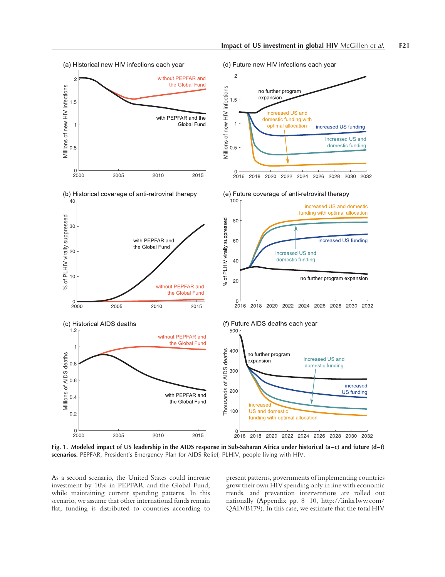<span id="page-2-0"></span>

Fig. 1. Modeled impact of US leadership in the AIDS response in Sub-Saharan Africa under historical (a–c) and future (d–f) scenarios. PEPFAR, President's Emergency Plan for AIDS Relief; PLHIV, people living with HIV.

As a second scenario, the United States could increase investment by 10% in PEPFAR and the Global Fund, while maintaining current spending patterns. In this scenario, we assume that other international funds remain flat, funding is distributed to countries according to

present patterns, governments of implementing countries grow their own HIV spending only in line with economic trends, and prevention interventions are rolled out nationally (Appendix pg. 8–10, [http://links.lww.com/](http://links.lww.com/QAD/B179) [QAD/B179](http://links.lww.com/QAD/B179)). In this case, we estimate that the total HIV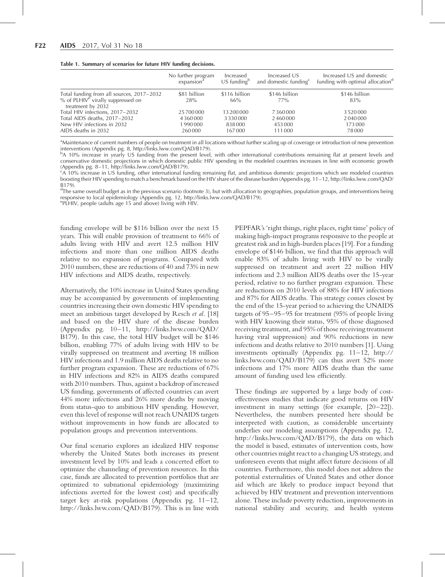<span id="page-3-0"></span>

|  |  |  | Table 1. Summary of scenarios for future HIV funding decisions. |
|--|--|--|-----------------------------------------------------------------|
|--|--|--|-----------------------------------------------------------------|

|                                                                                                                   | No further program     | Increased            | Increased US                      | Increased US and domestic                    |
|-------------------------------------------------------------------------------------------------------------------|------------------------|----------------------|-----------------------------------|----------------------------------------------|
|                                                                                                                   | expansion <sup>a</sup> | $US$ funding $b$     | and domestic funding <sup>c</sup> | funding with optimal allocation <sup>d</sup> |
| Total funding from all sources, 2017–2032<br>$%$ of PLHIV <sup>e</sup> virally suppressed on<br>treatment by 2032 | \$81 billion<br>28%    | \$116 billion<br>66% | \$146 billion<br>77%              | \$146 billion<br>83%                         |
| Total HIV infections, 2017-2032                                                                                   | 25700000               | 13 200 000           | 7360000                           | 3520000                                      |
| Total AIDS deaths, 2017–2032                                                                                      | 4360000                | 3330000              | 2460000                           | 2040000                                      |
| New HIV infections in 2032                                                                                        | 1990000                | 838000               | 453 000                           | 173 000                                      |
| AIDS deaths in 2032                                                                                               | 260000                 | 167000               | 111000                            | 78000                                        |

<sup>a</sup>Maintenance of current numbers of people on treatment in all locations without further scaling up of coverage or introduction of new prevention interventions (Appendix pg. 8, [http://links.lww.com/QAD/B179\)](http://links.lww.com/QAD/B179).

<sup>b</sup>A 10% increase in yearly US funding from the present level, with other international contributions remaining flat at present levels and conservative domestic projections in which domestic public HIV spending in the modeled countries increases in line with economic growth (Appendix pg. 8–11, [http://links.lww.com/QAD/B179\)](http://links.lww.com/QAD/B179).

<sup>c</sup>A 10% increase in US funding, other international funding remaining flat, and ambitious domestic projections which see modeled countries boosting their HIV spending to match a benchmark based on the HIV share of the disease burden (Appendix pg. 11–12, [http://links.lww.com/QAD/](http://links.lww.com/QAD/B179) [B179\)](http://links.lww.com/QAD/B179).

<sup>d</sup>The same overall budget as in the previous scenario (footnote 3), but with allocation to geographies, population groups, and interventions being responsive to local epidemiology (Appendix pg. 12,<http://links.lww.com/QAD/B179>).

e PLHIV, people (adults age 15 and above) living with HIV.

funding envelope will be \$116 billion over the next 15 years. This will enable provision of treatment to 66% of adults living with HIV and avert 12.5 million HIV infections and more than one million AIDS deaths relative to no expansion of programs. Compared with 2010 numbers, these are reductions of 40 and 73% in new HIV infections and AIDS deaths, respectively.

Alternatively, the 10% increase in United States spending may be accompanied by governments of implementing countries increasing their own domestic HIV spending to meet an ambitious target developed by Resch et al. [\[18\]](#page-4-0) and based on the HIV share of the disease burden (Appendix pg. 10–11, [http://links.lww.com/QAD/](http://links.lww.com/QAD/B179) [B179\)](http://links.lww.com/QAD/B179). In this case, the total HIV budget will be \$146 billion, enabling 77% of adults living with HIV to be virally suppressed on treatment and averting 18 million HIV infections and 1.9 million AIDS deaths relative to no further program expansion. These are reductions of 67% in HIV infections and 82% in AIDS deaths compared with 2010 numbers. Thus, against a backdrop of increased US funding, governments of affected countries can avert 44% more infections and 26% more deaths by moving from status-quo to ambitious HIV spending. However, even this level of response will not reach UNAIDS targets without improvements in how funds are allocated to population groups and prevention interventions.

Our final scenario explores an idealized HIV response whereby the United States both increases its present investment level by 10% and leads a concerted effort to optimize the channeling of prevention resources. In this case, funds are allocated to prevention portfolios that are optimized to subnational epidemiology (maximizing infections averted for the lowest cost) and specifically target key at-risk populations (Appendix pg.  $11-12$ , <http://links.lww.com/QAD/B179>). This is in line with

PEPFAR's 'right things, right places, right time' policy of making high-impact programs responsive to the people at greatest risk and in high-burden places [\[19\].](#page-4-0) For a funding envelope of \$146 billion, we find that this approach will enable 83% of adults living with HIV to be virally suppressed on treatment and avert 22 million HIV infections and 2.3 million AIDS deaths over the 15-year period, relative to no further program expansion. These are reductions on 2010 levels of 88% for HIV infections and 87% for AIDS deaths. This strategy comes closest by the end of the 15-year period to achieving the UNAIDS targets of 95–95–95 for treatment (95% of people living with HIV knowing their status, 95% of those diagnosed receiving treatment, and 95% of those receiving treatment having viral suppression) and 90% reductions in new infections and deaths relative to 2010 numbers [\[1\]](#page-4-0). Using investments optimally (Appendix pg. 11–12, [http://](http://links.lww.com/QAD/B179) [links.lww.com/QAD/B179](http://links.lww.com/QAD/B179)) can thus avert 52% more infections and 17% more AIDS deaths than the same amount of funding used less efficiently.

These findings are supported by a large body of costeffectiveness studies that indicate good returns on HIV investment in many settings (for example, [\[20–22\]](#page-4-0)). Nevertheless, the numbers presented here should be interpreted with caution, as considerable uncertainty underlies our modeling assumptions (Appendix pg. 12, <http://links.lww.com/QAD/B179>), the data on which the model is based, estimates of intervention costs, how other countries might react to a changing US strategy, and unforeseen events that might affect future decisions of all countries. Furthermore, this model does not address the potential externalities of United States and other donor aid which are likely to produce impact beyond that achieved by HIV treatment and prevention interventions alone. These include poverty reduction, improvements in national stability and security, and health systems